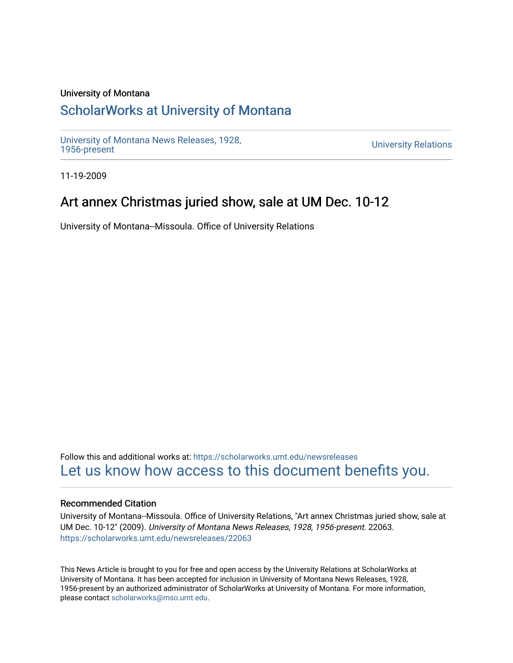### University of Montana

# [ScholarWorks at University of Montana](https://scholarworks.umt.edu/)

[University of Montana News Releases, 1928,](https://scholarworks.umt.edu/newsreleases) 

**University Relations** 

11-19-2009

# Art annex Christmas juried show, sale at UM Dec. 10-12

University of Montana--Missoula. Office of University Relations

Follow this and additional works at: [https://scholarworks.umt.edu/newsreleases](https://scholarworks.umt.edu/newsreleases?utm_source=scholarworks.umt.edu%2Fnewsreleases%2F22063&utm_medium=PDF&utm_campaign=PDFCoverPages) [Let us know how access to this document benefits you.](https://goo.gl/forms/s2rGfXOLzz71qgsB2) 

#### Recommended Citation

University of Montana--Missoula. Office of University Relations, "Art annex Christmas juried show, sale at UM Dec. 10-12" (2009). University of Montana News Releases, 1928, 1956-present. 22063. [https://scholarworks.umt.edu/newsreleases/22063](https://scholarworks.umt.edu/newsreleases/22063?utm_source=scholarworks.umt.edu%2Fnewsreleases%2F22063&utm_medium=PDF&utm_campaign=PDFCoverPages) 

This News Article is brought to you for free and open access by the University Relations at ScholarWorks at University of Montana. It has been accepted for inclusion in University of Montana News Releases, 1928, 1956-present by an authorized administrator of ScholarWorks at University of Montana. For more information, please contact [scholarworks@mso.umt.edu.](mailto:scholarworks@mso.umt.edu)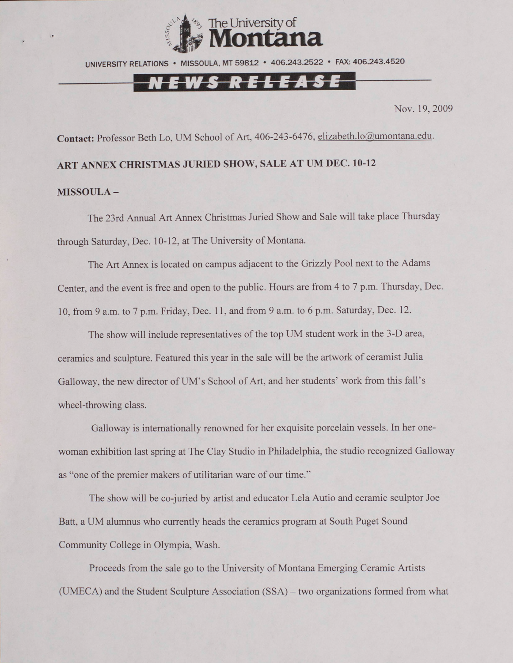

UNIVERSITY RELATIONS • MISSOULA, MT 59812 • 406.243.2522 • FAX: 406.243.4520

# <u>Ews release</u>

Nov. 19, 2009

**Contact:** Professor Beth Lo, UM School of Art. 406-243-6476, [elizabeth.lo@umontana.edu.](mailto:elizabeth.lo@umontana.edu)

**ART ANNEX CHRISTMAS JURIED SHOW, SALE AT UM DEC. 10-12**

### **MISSOULA -**

The 23rd Annual Art Annex Christmas Juried Show and Sale will take place Thursday through Saturday, Dec. 10-12, at The University of Montana.

The Art Annex is located on campus adjacent to the Grizzly Pool next to the Adams Center, and the event is free and open to the public. Hours are from 4 to 7 p.m. Thursday, Dec. 10, from 9 a.m. to 7 p.m. Friday, Dec. 11, and from 9 a.m. to 6 p.m. Saturday, Dec. 12.

The show will include representatives of the top UM student work in the 3-D area, ceramics and sculpture. Featured this year in the sale will be the artwork of ceramist Julia Galloway, the new director of UM's School of Art, and her students' work from this fall's wheel-throwing class.

Galloway is internationally renowned for her exquisite porcelain vessels. In her onewoman exhibition last spring at The Clay Studio in Philadelphia, the studio recognized Galloway as "one of the premier makers of utilitarian ware of our time."

The show will be co-juried by artist and educator Lela Autio and ceramic sculptor Joe Batt, a UM alumnus who currently heads the ceramics program at South Puget Sound Community College in Olympia, Wash.

Proceeds from the sale go to the University of Montana Emerging Ceramic Artists (UMECA) and the Student Sculpture Association (SSA) - two organizations formed from what